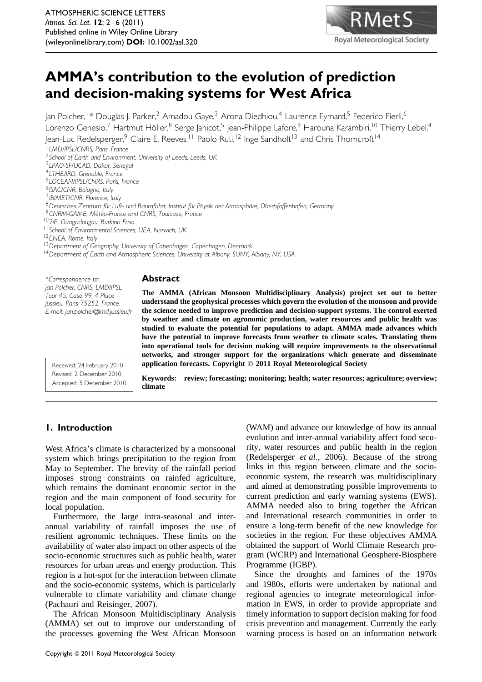

# **AMMA's contribution to the evolution of prediction and decision-making systems for West Africa**

Ian Polcher,<sup>1\*</sup> Douglas J. Parker,<sup>2</sup> Amadou Gaye,<sup>3</sup> Arona Diedhiou,<sup>4</sup> Laurence Eymard,<sup>5</sup> Federico Fierli,<sup>6</sup> Lorenzo Genesio,<sup>7</sup> Hartmut Höller, <sup>8</sup> Serge Janicot,<sup>5</sup> Jean-Philippe Lafore, <sup>9</sup> Harouna Karambiri, <sup>10</sup> Thierry Lebel, <sup>4</sup> Jean-Luc Redelsperger,<sup>9</sup> Claire E. Reeves,<sup>11</sup> Paolo Ruti,<sup>12</sup> Inge Sandholt<sup>13</sup> and Chris Thorncroft<sup>14</sup>

<sup>1</sup>*LMD/IPSL/CNRS, Paris, France*

<sup>2</sup>*School of Earth and Environment, University of Leeds, Leeds, UK*

<sup>3</sup>*LPAO-SF/UCAD, Dakar, Senegal*

<sup>4</sup>*LTHE/IRD, Grenoble, France*

<sup>5</sup>*LOCEAN/IPSL/CNRS, Paris, France*

<sup>6</sup>*ISAC/CNR, Bologna, Italy*

<sup>7</sup>*IBIMET/CNR, Florence, Italy*

<sup>8</sup> Deutsches Zentrum für Luft- und Raumfahrt, Institut für Physik der Atmosphäre, Oberpfaffenhofen, Germany<br><sup>9</sup> CNRM-GAME, Météo-France and CNRS, Toulouse, France<br><sup>10</sup> 2iE, Ouagadougou, Burkina Faso

<sup>11</sup>*School of Environmental Sciences, UEA, Norwich, UK*

<sup>12</sup>*ENEA, Rome, Italy*

<sup>13</sup>*Department of Geography, University of Copenhagen, Copenhagen, Denmark*

<sup>14</sup>*Department of Earth and Atmospheric Sciences, University at Albany, SUNY, Albany, NY, USA*

*\*Correspondence to: Jan Polcher, CNRS, LMD/IPSL, Tour 45, Case 99, 4 Place Jussieu, Paris 75252, France. E-mail: jan.polcher@lmd.jussieu.fr*

#### **Abstract**

**The AMMA (African Monsoon Multidisciplinary Analysis) project set out to better understand the geophysical processes which govern the evolution of the monsoon and provide the science needed to improve prediction and decision-support systems. The control exerted by weather and climate on agronomic production, water resources and public health was studied to evaluate the potential for populations to adapt. AMMA made advances which have the potential to improve forecasts from weather to climate scales. Translating them into operational tools for decision making will require improvements to the observational networks, and stronger support for the organizations which generate and disseminate application forecasts. Copyright 2011 Royal Meteorological Society**

Received: 24 February 2010 Revised: 2 December 2010 Accepted: 5 December 2010

**Keywords: review; forecasting; monitoring; health; water resources; agriculture; overview; climate**

# **1. Introduction**

West Africa's climate is characterized by a monsoonal system which brings precipitation to the region from May to September. The brevity of the rainfall period imposes strong constraints on rainfed agriculture, which remains the dominant economic sector in the region and the main component of food security for local population.

Furthermore, the large intra-seasonal and interannual variability of rainfall imposes the use of resilient agronomic techniques. These limits on the availability of water also impact on other aspects of the socio-economic structures such as public health, water resources for urban areas and energy production. This region is a hot-spot for the interaction between climate and the socio-economic systems, which is particularly vulnerable to climate variability and climate change (Pachauri and Reisinger, 2007).

The African Monsoon Multidisciplinary Analysis (AMMA) set out to improve our understanding of the processes governing the West African Monsoon (WAM) and advance our knowledge of how its annual evolution and inter-annual variability affect food security, water resources and public health in the region (Redelsperger *et al*., 2006). Because of the strong links in this region between climate and the socioeconomic system, the research was multidisciplinary and aimed at demonstrating possible improvements to current prediction and early warning systems (EWS). AMMA needed also to bring together the African and International research communities in order to ensure a long-term benefit of the new knowledge for societies in the region. For these objectives AMMA obtained the support of World Climate Research program (WCRP) and International Geosphere-Biosphere Programme (IGBP).

Since the droughts and famines of the 1970s and 1980s, efforts were undertaken by national and regional agencies to integrate meteorological information in EWS, in order to provide appropriate and timely information to support decision making for food crisis prevention and management. Currently the early warning process is based on an information network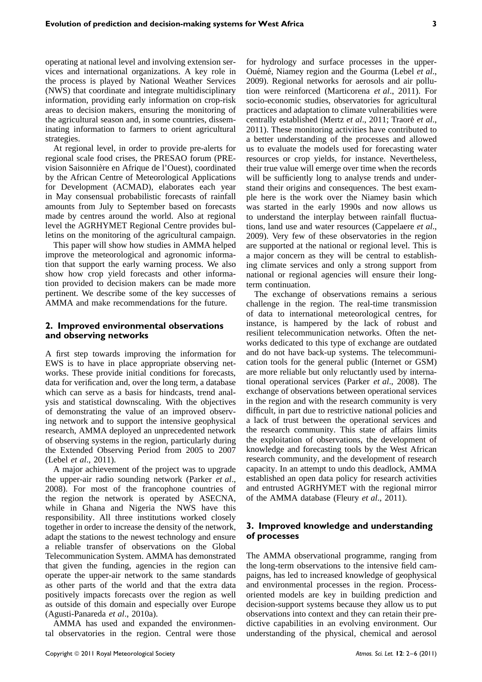operating at national level and involving extension services and international organizations. A key role in the process is played by National Weather Services (NWS) that coordinate and integrate multidisciplinary information, providing early information on crop-risk areas to decision makers, ensuring the monitoring of the agricultural season and, in some countries, disseminating information to farmers to orient agricultural strategies.

At regional level, in order to provide pre-alerts for regional scale food crises, the PRESAO forum (PREvision Saisonniere en Afrique de l'Ouest), coordinated ` by the African Centre of Meteorological Applications for Development (ACMAD), elaborates each year in May consensual probabilistic forecasts of rainfall amounts from July to September based on forecasts made by centres around the world. Also at regional level the AGRHYMET Regional Centre provides bulletins on the monitoring of the agricultural campaign.

This paper will show how studies in AMMA helped improve the meteorological and agronomic information that support the early warning process. We also show how crop yield forecasts and other information provided to decision makers can be made more pertinent. We describe some of the key successes of AMMA and make recommendations for the future.

#### **2. Improved environmental observations and observing networks**

A first step towards improving the information for EWS is to have in place appropriate observing networks. These provide initial conditions for forecasts, data for verification and, over the long term, a database which can serve as a basis for hindcasts, trend analysis and statistical downscaling. With the objectives of demonstrating the value of an improved observing network and to support the intensive geophysical research, AMMA deployed an unprecedented network of observing systems in the region, particularly during the Extended Observing Period from 2005 to 2007 (Lebel *et al*., 2011).

A major achievement of the project was to upgrade the upper-air radio sounding network (Parker *et al*., 2008). For most of the francophone countries of the region the network is operated by ASECNA, while in Ghana and Nigeria the NWS have this responsibility. All three institutions worked closely together in order to increase the density of the network, adapt the stations to the newest technology and ensure a reliable transfer of observations on the Global Telecommunication System. AMMA has demonstrated that given the funding, agencies in the region can operate the upper-air network to the same standards as other parts of the world and that the extra data positively impacts forecasts over the region as well as outside of this domain and especially over Europe (Agusti-Panareda *et al*., 2010a).

AMMA has used and expanded the environmental observatories in the region. Central were those for hydrology and surface processes in the upper-Ouémé, Niamey region and the Gourma (Lebel et al., 2009). Regional networks for aerosols and air pollution were reinforced (Marticorena *et al*., 2011). For socio-economic studies, observatories for agricultural practices and adaptation to climate vulnerabilities were centrally established (Mertz *et al.*, 2011; Traoré *et al.*, 2011). These monitoring activities have contributed to a better understanding of the processes and allowed us to evaluate the models used for forecasting water resources or crop yields, for instance. Nevertheless, their true value will emerge over time when the records will be sufficiently long to analyse trends and understand their origins and consequences. The best example here is the work over the Niamey basin which was started in the early 1990s and now allows us to understand the interplay between rainfall fluctuations, land use and water resources (Cappelaere *et al*., 2009). Very few of these observatories in the region are supported at the national or regional level. This is a major concern as they will be central to establishing climate services and only a strong support from national or regional agencies will ensure their longterm continuation.

The exchange of observations remains a serious challenge in the region. The real-time transmission of data to international meteorological centres, for instance, is hampered by the lack of robust and resilient telecommunication networks. Often the networks dedicated to this type of exchange are outdated and do not have back-up systems. The telecommunication tools for the general public (Internet or GSM) are more reliable but only reluctantly used by international operational services (Parker *et al*., 2008). The exchange of observations between operational services in the region and with the research community is very difficult, in part due to restrictive national policies and a lack of trust between the operational services and the research community. This state of affairs limits the exploitation of observations, the development of knowledge and forecasting tools by the West African research community, and the development of research capacity. In an attempt to undo this deadlock, AMMA established an open data policy for research activities and entrusted AGRHYMET with the regional mirror of the AMMA database (Fleury *et al*., 2011).

## **3. Improved knowledge and understanding of processes**

The AMMA observational programme, ranging from the long-term observations to the intensive field campaigns, has led to increased knowledge of geophysical and environmental processes in the region. Processoriented models are key in building prediction and decision-support systems because they allow us to put observations into context and they can retain their predictive capabilities in an evolving environment. Our understanding of the physical, chemical and aerosol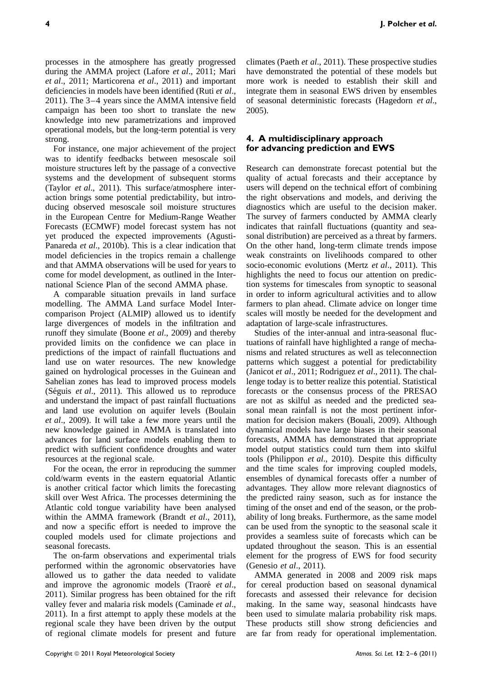processes in the atmosphere has greatly progressed during the AMMA project (Lafore *et al*., 2011; Mari *et al*., 2011; Marticorena *et al*., 2011) and important deficiencies in models have been identified (Ruti *et al*., 2011). The 3–4 years since the AMMA intensive field campaign has been too short to translate the new knowledge into new parametrizations and improved operational models, but the long-term potential is very strong.

For instance, one major achievement of the project was to identify feedbacks between mesoscale soil moisture structures left by the passage of a convective systems and the development of subsequent storms (Taylor *et al*., 2011). This surface/atmosphere interaction brings some potential predictability, but introducing observed mesoscale soil moisture structures in the European Centre for Medium-Range Weather Forecasts (ECMWF) model forecast system has not yet produced the expected improvements (Agusti-Panareda *et al*., 2010b). This is a clear indication that model deficiencies in the tropics remain a challenge and that AMMA observations will be used for years to come for model development, as outlined in the International Science Plan of the second AMMA phase.

A comparable situation prevails in land surface modelling. The AMMA Land surface Model Intercomparison Project (ALMIP) allowed us to identify large divergences of models in the infiltration and runoff they simulate (Boone *et al*., 2009) and thereby provided limits on the confidence we can place in predictions of the impact of rainfall fluctuations and land use on water resources. The new knowledge gained on hydrological processes in the Guinean and Sahelian zones has lead to improved process models (Séguis et al., 2011). This allowed us to reproduce and understand the impact of past rainfall fluctuations and land use evolution on aquifer levels (Boulain *et al*., 2009). It will take a few more years until the new knowledge gained in AMMA is translated into advances for land surface models enabling them to predict with sufficient confidence droughts and water resources at the regional scale.

For the ocean, the error in reproducing the summer cold/warm events in the eastern equatorial Atlantic is another critical factor which limits the forecasting skill over West Africa. The processes determining the Atlantic cold tongue variability have been analysed within the AMMA framework (Brandt *et al*., 2011), and now a specific effort is needed to improve the coupled models used for climate projections and seasonal forecasts.

The on-farm observations and experimental trials performed within the agronomic observatories have allowed us to gather the data needed to validate and improve the agronomic models (Traoré *et al.*, 2011). Similar progress has been obtained for the rift valley fever and malaria risk models (Caminade *et al*., 2011). In a first attempt to apply these models at the regional scale they have been driven by the output of regional climate models for present and future climates (Paeth *et al*., 2011). These prospective studies have demonstrated the potential of these models but more work is needed to establish their skill and integrate them in seasonal EWS driven by ensembles of seasonal deterministic forecasts (Hagedorn *et al*., 2005).

# **4. A multidisciplinary approach for advancing prediction and EWS**

Research can demonstrate forecast potential but the quality of actual forecasts and their acceptance by users will depend on the technical effort of combining the right observations and models, and deriving the diagnostics which are useful to the decision maker. The survey of farmers conducted by AMMA clearly indicates that rainfall fluctuations (quantity and seasonal distribution) are perceived as a threat by farmers. On the other hand, long-term climate trends impose weak constraints on livelihoods compared to other socio-economic evolutions (Mertz *et al*., 2011). This highlights the need to focus our attention on prediction systems for timescales from synoptic to seasonal in order to inform agricultural activities and to allow farmers to plan ahead. Climate advice on longer time scales will mostly be needed for the development and adaptation of large-scale infrastructures.

Studies of the inter-annual and intra-seasonal fluctuations of rainfall have highlighted a range of mechanisms and related structures as well as teleconnection patterns which suggest a potential for predictability (Janicot *et al*., 2011; Rodriguez *et al*., 2011). The challenge today is to better realize this potential. Statistical forecasts or the consensus process of the PRESAO are not as skilful as needed and the predicted seasonal mean rainfall is not the most pertinent information for decision makers (Bouali, 2009). Although dynamical models have large biases in their seasonal forecasts, AMMA has demonstrated that appropriate model output statistics could turn them into skilful tools (Philippon *et al*., 2010). Despite this difficulty and the time scales for improving coupled models, ensembles of dynamical forecasts offer a number of advantages. They allow more relevant diagnostics of the predicted rainy season, such as for instance the timing of the onset and end of the season, or the probability of long breaks. Furthermore, as the same model can be used from the synoptic to the seasonal scale it provides a seamless suite of forecasts which can be updated throughout the season. This is an essential element for the progress of EWS for food security (Genesio *et al*., 2011).

AMMA generated in 2008 and 2009 risk maps for cereal production based on seasonal dynamical forecasts and assessed their relevance for decision making. In the same way, seasonal hindcasts have been used to simulate malaria probability risk maps. These products still show strong deficiencies and are far from ready for operational implementation.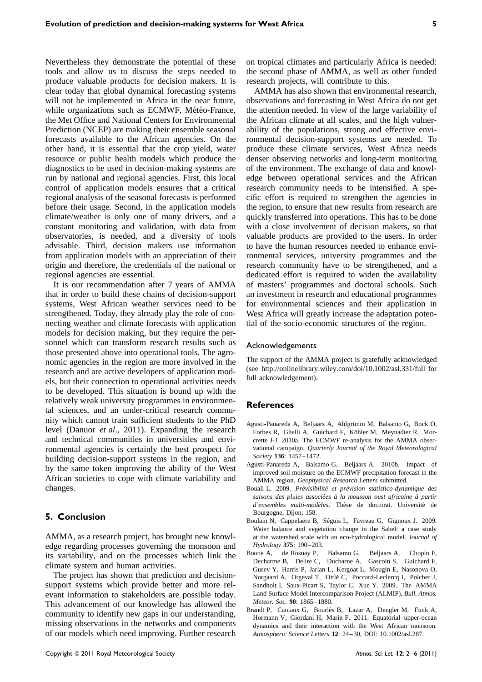Nevertheless they demonstrate the potential of these tools and allow us to discuss the steps needed to produce valuable products for decision makers. It is clear today that global dynamical forecasting systems will not be implemented in Africa in the near future, while organizations such as ECMWF, Météo-France, the Met Office and National Centers for Environmental Prediction (NCEP) are making their ensemble seasonal forecasts available to the African agencies. On the other hand, it is essential that the crop yield, water resource or public health models which produce the diagnostics to be used in decision-making systems are run by national and regional agencies. First, this local control of application models ensures that a critical regional analysis of the seasonal forecasts is performed before their usage. Second, in the application models climate/weather is only one of many drivers, and a constant monitoring and validation, with data from observatories, is needed, and a diversity of tools advisable. Third, decision makers use information from application models with an appreciation of their origin and therefore, the credentials of the national or regional agencies are essential.

It is our recommendation after 7 years of AMMA that in order to build these chains of decision-support systems, West African weather services need to be strengthened. Today, they already play the role of connecting weather and climate forecasts with application models for decision making, but they require the personnel which can transform research results such as those presented above into operational tools. The agronomic agencies in the region are more involved in the research and are active developers of application models, but their connection to operational activities needs to be developed. This situation is bound up with the relatively weak university programmes in environmental sciences, and an under-critical research community which cannot train sufficient students to the PhD level (Danuor *et al*., 2011). Expanding the research and technical communities in universities and environmental agencies is certainly the best prospect for building decision-support systems in the region, and by the same token improving the ability of the West African societies to cope with climate variability and changes.

#### **5. Conclusion**

AMMA, as a research project, has brought new knowledge regarding processes governing the monsoon and its variability, and on the processes which link the climate system and human activities.

The project has shown that prediction and decisionsupport systems which provide better and more relevant information to stakeholders are possible today. This advancement of our knowledge has allowed the community to identify new gaps in our understanding, missing observations in the networks and components of our models which need improving. Further research

Copyright 2011 Royal Meteorological Society *Atmos. Sci. Let.* **12**: 2–6 (2011)

on tropical climates and particularly Africa is needed: the second phase of AMMA, as well as other funded research projects, will contribute to this.

AMMA has also shown that environmental research, observations and forecasting in West Africa do not get the attention needed. In view of the large variability of the African climate at all scales, and the high vulnerability of the populations, strong and effective environmental decision-support systems are needed. To produce these climate services, West Africa needs denser observing networks and long-term monitoring of the environment. The exchange of data and knowledge between operational services and the African research community needs to be intensified. A specific effort is required to strengthen the agencies in the region, to ensure that new results from research are quickly transferred into operations. This has to be done with a close involvement of decision makers, so that valuable products are provided to the users. In order to have the human resources needed to enhance environmental services, university programmes and the research community have to be strengthened, and a dedicated effort is required to widen the availability of masters' programmes and doctoral schools. Such an investment in research and educational programmes for environmental sciences and their application in West Africa will greatly increase the adaptation potential of the socio-economic structures of the region.

#### Acknowledgements

The support of the AMMA project is gratefully acknowledged (see http://onlinelibrary.wiley.com/doi/10.1002/asl.331/full for full acknowledgement).

## **References**

- Agusti-Panareda A, Beljaars A, Ahlgrimm M, Balsamo G, Bock O, Forbes R, Ghelli A, Guichard F, Köhler M, Meynadier R, Morcrette J-J. 2010a. The ECMWF re-analysis for the AMMA observational campaign. *Quarterly Journal of the Royal Meteorological Society* **136**: 1457–1472.
- Agusti-Panareda A, Balsamo G, Beljaars A. 2010b. Impact of improved soil moisture on the ECMWF precipitation forecast in the AMMA region. *Geophysical Research Letters* submitted.
- Bouali L. 2009. *Prévisibilité et prévision statistico-dynamique des* saisons des pluies associées à la mousson oust africaine à partir *d'ensembles multi-modèles*. Thèse de doctorat. Université de Bourgogne, Dijon; 158.
- Boulain N, Cappelaere B, Séguis L, Favreau G, Gignoux J, 2009. Water balance and vegetation change in the Sahel: a case study at the watershed scale with an eco-hydrological model. *Journal of Hydrology* **375**: 190–203.
- Boone A, de Rosnay P, Balsamo G, Beljaars A, Chopin F, Decharme B, Delire C, Ducharne A, Gascoin S, Guichard F, Gusev Y, Harris P, Jarlan L, Kergoat L, Mougin E, Nasonova O, Norgaard A, Orgeval T, Ottle C, Poccard-Leclercq I, Polcher J, ´ Sandholt I, Saux-Picart S, Taylor C, Xue Y. 2009. The AMMA Land Surface Model Intercomparison Project (ALMIP), *Bull. Atmos. Meteor. Soc.* **90**: 1865–1880.
- Brandt P, Caniaux G, Bourles B, Lazar A, Dengler M, Funk A, ` Hormann V, Giordani H, Marin F. 2011. Equatorial upper-ocean dynamics and their interaction with the West African monsoon. *Atmospheric Science Letters* **12**: 24–30, DOI: 10.1002/asl.287.